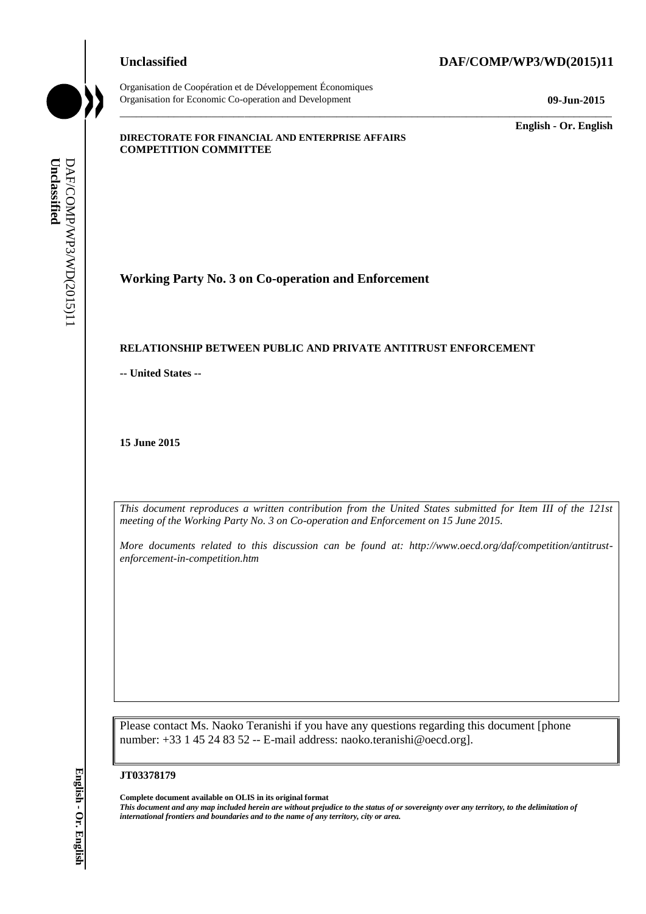Organisation de Coopération et de Développement Économiques Organisation for Economic Co-operation and Development **09-Jun-2015**

# **Unclassified DAF/COMP/WP3/WD(2015)11**

\_\_\_\_\_\_\_\_\_\_\_\_\_ **English - Or. English**

#### **DIRECTORATE FOR FINANCIAL AND ENTERPRISE AFFAIRS COMPETITION COMMITTEE**

**Working Party No. 3 on Co-operation and Enforcement**

#### **RELATIONSHIP BETWEEN PUBLIC AND PRIVATE ANTITRUST ENFORCEMENT**

**-- United States --**

**15 June 2015**

*This document reproduces a written contribution from the United States submitted for Item III of the 121st meeting of the Working Party No. 3 on Co-operation and Enforcement on 15 June 2015.* 

\_\_\_\_\_\_\_\_\_\_\_\_\_\_\_\_\_\_\_\_\_\_\_\_\_\_\_\_\_\_\_\_\_\_\_\_\_\_\_\_\_\_\_\_\_\_\_\_\_\_\_\_\_\_\_\_\_\_\_\_\_\_\_\_\_\_\_\_\_\_\_\_\_\_\_\_\_\_\_\_\_\_\_\_\_\_\_\_\_\_\_

*More documents related to this discussion can be found at: http://www.oecd.org/daf/competition/antitrustenforcement-in-competition.htm*

Please contact Ms. Naoko Teranishi if you have any questions regarding this document [phone number: +33 1 45 24 83 52 -- E-mail address: naoko.teranishi@oecd.org].

#### **JT03378179**

**Complete document available on OLIS in its original format** *This document and any map included herein are without prejudice to the status of or sovereignty over any territory, to the delimitation of*  **iii** *international frontiers and boundaries and to the name of any territory*  $\frac{1}{25}$ <br> **iii ELET ATIONSHIP BETWEEN PUBLIC AND PRIVATE AN**<br>
- United States --<br> **iii June 2015**<br> **iii III iii** *iii iii iii*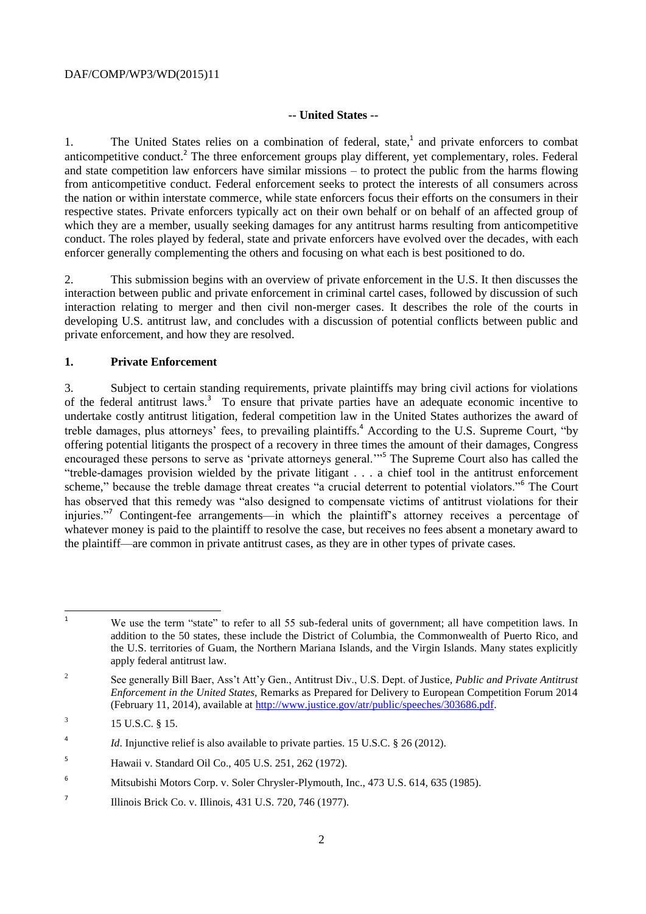#### **-- United States --**

1. The United States relies on a combination of federal, state,<sup>1</sup> and private enforcers to combat anticompetitive conduct.<sup>2</sup> The three enforcement groups play different, yet complementary, roles. Federal and state competition law enforcers have similar missions – to protect the public from the harms flowing from anticompetitive conduct. Federal enforcement seeks to protect the interests of all consumers across the nation or within interstate commerce, while state enforcers focus their efforts on the consumers in their respective states. Private enforcers typically act on their own behalf or on behalf of an affected group of which they are a member, usually seeking damages for any antitrust harms resulting from anticompetitive conduct. The roles played by federal, state and private enforcers have evolved over the decades, with each enforcer generally complementing the others and focusing on what each is best positioned to do.

2. This submission begins with an overview of private enforcement in the U.S. It then discusses the interaction between public and private enforcement in criminal cartel cases, followed by discussion of such interaction relating to merger and then civil non-merger cases. It describes the role of the courts in developing U.S. antitrust law, and concludes with a discussion of potential conflicts between public and private enforcement, and how they are resolved.

#### **1. Private Enforcement**

3. Subject to certain standing requirements, private plaintiffs may bring civil actions for violations of the federal antitrust laws.<sup>3</sup> To ensure that private parties have an adequate economic incentive to undertake costly antitrust litigation, federal competition law in the United States authorizes the award of treble damages, plus attorneys' fees, to prevailing plaintiffs. <sup>4</sup> According to the U.S. Supreme Court, "by offering potential litigants the prospect of a recovery in three times the amount of their damages, Congress encouraged these persons to serve as 'private attorneys general.'"<sup>5</sup> The Supreme Court also has called the "treble-damages provision wielded by the private litigant . . . a chief tool in the antitrust enforcement scheme," because the treble damage threat creates "a crucial deterrent to potential violators."<sup>6</sup> The Court has observed that this remedy was "also designed to compensate victims of antitrust violations for their injuries."<sup>7</sup> Contingent-fee arrangements—in which the plaintiff's attorney receives a percentage of whatever money is paid to the plaintiff to resolve the case, but receives no fees absent a monetary award to the plaintiff—are common in private antitrust cases, as they are in other types of private cases.

 $\overline{1}$ We use the term "state" to refer to all 55 sub-federal units of government; all have competition laws. In addition to the 50 states, these include the District of Columbia, the Commonwealth of Puerto Rico, and the U.S. territories of Guam, the Northern Mariana Islands, and the Virgin Islands. Many states explicitly apply federal antitrust law.

<sup>2</sup> See generally Bill Baer, Ass't Att'y Gen., Antitrust Div., U.S. Dept. of Justice, *Public and Private Antitrust Enforcement in the United States,* Remarks as Prepared for Delivery to European Competition Forum 2014 (February 11, 2014), available at [http://www.justice.gov/atr/public/speeches/303686.pdf.](http://www.justice.gov/atr/public/speeches/303686.pdf)

<sup>3</sup> 15 U.S.C. § 15.

<sup>4</sup> *Id.* Injunctive relief is also available to private parties. 15 U.S.C. § 26 (2012).

<sup>5</sup> Hawaii v. Standard Oil Co., 405 U.S. 251, 262 (1972).

<sup>6</sup> Mitsubishi Motors Corp. v. Soler Chrysler-Plymouth, Inc., 473 U.S. 614, 635 (1985).

<sup>7</sup> Illinois Brick Co. v. Illinois, 431 U.S. 720, 746 (1977).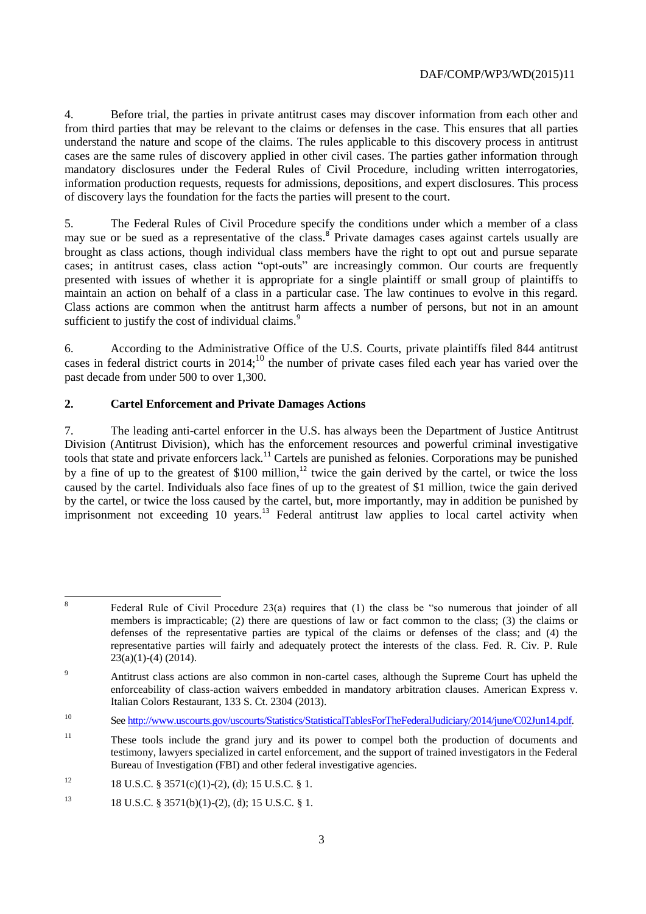4. Before trial, the parties in private antitrust cases may discover information from each other and from third parties that may be relevant to the claims or defenses in the case. This ensures that all parties understand the nature and scope of the claims. The rules applicable to this discovery process in antitrust cases are the same rules of discovery applied in other civil cases. The parties gather information through mandatory disclosures under the Federal Rules of Civil Procedure, including written interrogatories, information production requests, requests for admissions, depositions, and expert disclosures. This process of discovery lays the foundation for the facts the parties will present to the court.

5. The Federal Rules of Civil Procedure specify the conditions under which a member of a class may sue or be sued as a representative of the class.<sup>8</sup> Private damages cases against cartels usually are brought as class actions, though individual class members have the right to opt out and pursue separate cases; in antitrust cases, class action "opt-outs" are increasingly common. Our courts are frequently presented with issues of whether it is appropriate for a single plaintiff or small group of plaintiffs to maintain an action on behalf of a class in a particular case. The law continues to evolve in this regard. Class actions are common when the antitrust harm affects a number of persons, but not in an amount sufficient to justify the cost of individual claims.<sup>9</sup>

6. According to the Administrative Office of the U.S. Courts, private plaintiffs filed 844 antitrust cases in federal district courts in 2014;<sup>10</sup> the number of private cases filed each year has varied over the past decade from under 500 to over 1,300.

# **2. Cartel Enforcement and Private Damages Actions**

7. The leading anti-cartel enforcer in the U.S. has always been the Department of Justice Antitrust Division (Antitrust Division), which has the enforcement resources and powerful criminal investigative tools that state and private enforcers lack.<sup>11</sup> Cartels are punished as felonies. Corporations may be punished by a fine of up to the greatest of  $$100$  million,<sup>12</sup> twice the gain derived by the cartel, or twice the loss caused by the cartel. Individuals also face fines of up to the greatest of \$1 million, twice the gain derived by the cartel, or twice the loss caused by the cartel, but, more importantly, may in addition be punished by imprisonment not exceeding 10 years.<sup>13</sup> Federal antitrust law applies to local cartel activity when

 8 Federal Rule of Civil Procedure 23(a) requires that (1) the class be "so numerous that joinder of all members is impracticable; (2) there are questions of law or fact common to the class; (3) the claims or defenses of the representative parties are typical of the claims or defenses of the class; and (4) the representative parties will fairly and adequately protect the interests of the class. Fed. R. Civ. P. Rule  $23(a)(1)-(4) (2014)$ .

<sup>&</sup>lt;sup>9</sup> Antitrust class actions are also common in non-cartel cases, although the Supreme Court has upheld the enforceability of class-action waivers embedded in mandatory arbitration clauses. American Express v. Italian Colors Restaurant, 133 S. Ct. 2304 (2013).

<sup>10</sup> See [http://www.uscourts.gov/uscourts/Statistics/StatisticalTablesForTheFederalJudiciary/2014/june/C02Jun14.pdf.](http://www.uscourts.gov/uscourts/Statistics/StatisticalTablesForTheFederalJudiciary/2014/june/C02Jun14.pdf)

<sup>&</sup>lt;sup>11</sup> These tools include the grand jury and its power to compel both the production of documents and testimony, lawyers specialized in cartel enforcement, and the support of trained investigators in the Federal Bureau of Investigation (FBI) and other federal investigative agencies.

<sup>&</sup>lt;sup>12</sup> 18 U.S.C. § 3571(c)(1)-(2), (d); 15 U.S.C. § 1.

<sup>&</sup>lt;sup>13</sup> 18 U.S.C. § 3571(b)(1)-(2), (d); 15 U.S.C. § 1.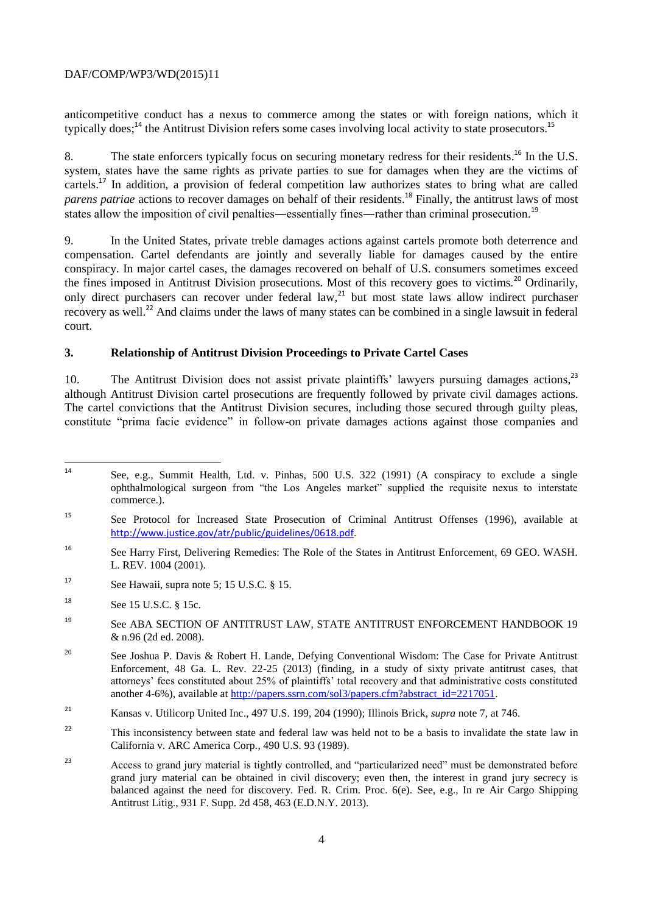anticompetitive conduct has a nexus to commerce among the states or with foreign nations, which it typically does;<sup>14</sup> the Antitrust Division refers some cases involving local activity to state prosecutors.<sup>15</sup>

8. The state enforcers typically focus on securing monetary redress for their residents.<sup>16</sup> In the U.S. system, states have the same rights as private parties to sue for damages when they are the victims of cartels.<sup>17</sup> In addition, a provision of federal competition law authorizes states to bring what are called *parens patriae* actions to recover damages on behalf of their residents. <sup>18</sup> Finally, the antitrust laws of most states allow the imposition of civil penalties—essentially fines—rather than criminal prosecution.<sup>19</sup>

9. In the United States, private treble damages actions against cartels promote both deterrence and compensation. Cartel defendants are jointly and severally liable for damages caused by the entire conspiracy. In major cartel cases, the damages recovered on behalf of U.S. consumers sometimes exceed the fines imposed in Antitrust Division prosecutions. Most of this recovery goes to victims.<sup>20</sup> Ordinarily, only direct purchasers can recover under federal law,<sup>21</sup> but most state laws allow indirect purchaser recovery as well.<sup>22</sup> And claims under the laws of many states can be combined in a single lawsuit in federal court.

### **3. Relationship of Antitrust Division Proceedings to Private Cartel Cases**

10. The Antitrust Division does not assist private plaintiffs' lawyers pursuing damages actions,<sup>23</sup> although Antitrust Division cartel prosecutions are frequently followed by private civil damages actions. The cartel convictions that the Antitrust Division secures, including those secured through guilty pleas, constitute "prima facie evidence" in follow-on private damages actions against those companies and

- <sup>17</sup> See Hawaii, supra note 5; 15 U.S.C.  $\S$  15.
- <sup>18</sup> See 15 U.S.C. § 15c.
- <sup>19</sup> See ABA SECTION OF ANTITRUST LAW, STATE ANTITRUST ENFORCEMENT HANDBOOK 19 & n.96 (2d ed. 2008).
- <sup>20</sup> See Joshua P. Davis & Robert H. Lande, Defying Conventional Wisdom: The Case for Private Antitrust Enforcement, 48 Ga. L. Rev. 22-25 (2013) (finding, in a study of sixty private antitrust cases, that attorneys' fees constituted about 25% of plaintiffs' total recovery and that administrative costs constituted another 4-6%), available at [http://papers.ssrn.com/sol3/papers.cfm?abstract\\_id=2217051.](http://papers.ssrn.com/sol3/papers.cfm?abstract_id=2217051)
- <sup>21</sup> Kansas v. Utilicorp United Inc., 497 U.S. 199, 204 (1990); Illinois Brick, *supra* note 7, at 746.
- <sup>22</sup> This inconsistency between state and federal law was held not to be a basis to invalidate the state law in California v. ARC America Corp*.*, 490 U.S. 93 (1989).
- <sup>23</sup> Access to grand jury material is tightly controlled, and "particularized need" must be demonstrated before grand jury material can be obtained in civil discovery; even then, the interest in grand jury secrecy is balanced against the need for discovery. Fed. R. Crim. Proc. 6(e). See, e.g., In re Air Cargo Shipping Antitrust Litig., 931 F. Supp. 2d 458, 463 (E.D.N.Y. 2013).

 $14$ See, e.g., Summit Health, Ltd. v. Pinhas, 500 U.S. 322 (1991) (A conspiracy to exclude a single ophthalmological surgeon from "the Los Angeles market" supplied the requisite nexus to interstate commerce.).

<sup>15</sup> See Protocol for Increased State Prosecution of Criminal Antitrust Offenses (1996), available at <http://www.justice.gov/atr/public/guidelines/0618.pdf>.

<sup>16</sup> See Harry First, Delivering Remedies: The Role of the States in Antitrust Enforcement, 69 GEO. WASH. L. REV. 1004 (2001).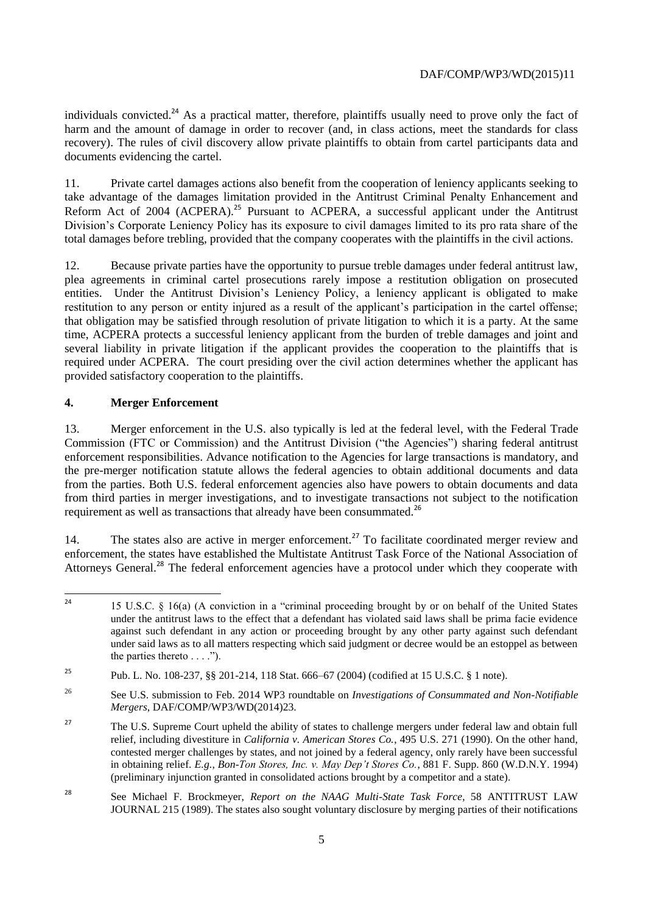individuals convicted.<sup>24</sup> As a practical matter, therefore, plaintiffs usually need to prove only the fact of harm and the amount of damage in order to recover (and, in class actions, meet the standards for class recovery). The rules of civil discovery allow private plaintiffs to obtain from cartel participants data and documents evidencing the cartel.

11. Private cartel damages actions also benefit from the cooperation of leniency applicants seeking to take advantage of the damages limitation provided in the Antitrust Criminal Penalty Enhancement and Reform Act of 2004 (ACPERA).<sup>25</sup> Pursuant to ACPERA, a successful applicant under the Antitrust Division's Corporate Leniency Policy has its exposure to civil damages limited to its pro rata share of the total damages before trebling, provided that the company cooperates with the plaintiffs in the civil actions.

12. Because private parties have the opportunity to pursue treble damages under federal antitrust law, plea agreements in criminal cartel prosecutions rarely impose a restitution obligation on prosecuted entities. Under the Antitrust Division's Leniency Policy, a leniency applicant is obligated to make restitution to any person or entity injured as a result of the applicant's participation in the cartel offense; that obligation may be satisfied through resolution of private litigation to which it is a party. At the same time, ACPERA protects a successful leniency applicant from the burden of treble damages and joint and several liability in private litigation if the applicant provides the cooperation to the plaintiffs that is required under ACPERA. The court presiding over the civil action determines whether the applicant has provided satisfactory cooperation to the plaintiffs.

# **4. Merger Enforcement**

13. Merger enforcement in the U.S. also typically is led at the federal level, with the Federal Trade Commission (FTC or Commission) and the Antitrust Division ("the Agencies") sharing federal antitrust enforcement responsibilities. Advance notification to the Agencies for large transactions is mandatory, and the pre-merger notification statute allows the federal agencies to obtain additional documents and data from the parties. Both U.S. federal enforcement agencies also have powers to obtain documents and data from third parties in merger investigations, and to investigate transactions not subject to the notification requirement as well as transactions that already have been consummated.<sup>26</sup>

14. The states also are active in merger enforcement.<sup>27</sup> To facilitate coordinated merger review and enforcement, the states have established the Multistate Antitrust Task Force of the National Association of Attorneys General.<sup>28</sup> The federal enforcement agencies have a protocol under which they cooperate with

 $24$ <sup>24</sup> 15 U.S.C. § 16(a) (A conviction in a "criminal proceeding brought by or on behalf of the United States under the antitrust laws to the effect that a defendant has violated said laws shall be prima facie evidence against such defendant in any action or proceeding brought by any other party against such defendant under said laws as to all matters respecting which said judgment or decree would be an estoppel as between the parties thereto . . . .").

<sup>25</sup> Pub. L. No. 108-237, §§ 201-214, 118 Stat. 666–67 (2004) (codified at 15 U.S.C. § 1 note).

<sup>26</sup> See U.S. submission to Feb. 2014 WP3 roundtable on *Investigations of Consummated and Non-Notifiable Mergers*, DAF/COMP/WP3/WD(2014)23.

<sup>&</sup>lt;sup>27</sup> The U.S. Supreme Court upheld the ability of states to challenge mergers under federal law and obtain full relief, including divestiture in *California v. American Stores Co.*, 495 U.S. 271 (1990). On the other hand, contested merger challenges by states, and not joined by a federal agency, only rarely have been successful in obtaining relief. *E.g.*, *Bon-Ton Stores, Inc. v. May Dep't Stores Co.*, 881 F. Supp. 860 (W.D.N.Y. 1994) (preliminary injunction granted in consolidated actions brought by a competitor and a state).

<sup>28</sup> See Michael F. Brockmeyer, *Report on the NAAG Multi-State Task Force*, 58 ANTITRUST LAW JOURNAL 215 (1989). The states also sought voluntary disclosure by merging parties of their notifications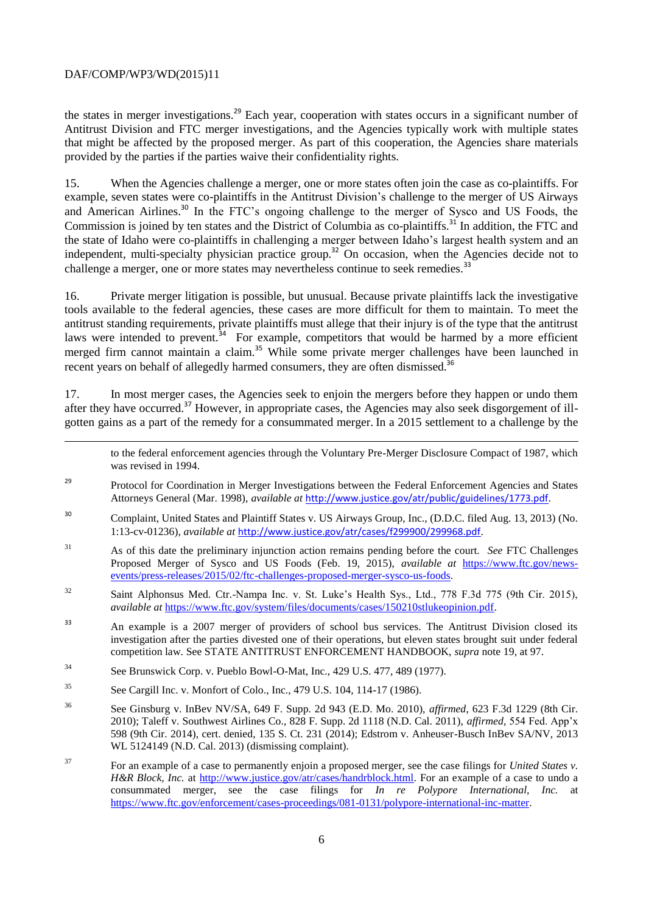$\overline{a}$ 

the states in merger investigations.<sup>29</sup> Each year, cooperation with states occurs in a significant number of Antitrust Division and FTC merger investigations, and the Agencies typically work with multiple states that might be affected by the proposed merger. As part of this cooperation, the Agencies share materials provided by the parties if the parties waive their confidentiality rights.

15. When the Agencies challenge a merger, one or more states often join the case as co-plaintiffs. For example, seven states were co-plaintiffs in the Antitrust Division's challenge to the merger of US Airways and American Airlines.<sup>30</sup> In the FTC's ongoing challenge to the merger of Sysco and US Foods, the Commission is joined by ten states and the District of Columbia as co-plaintiffs.<sup>31</sup> In addition, the FTC and the state of Idaho were co-plaintiffs in challenging a merger between Idaho's largest health system and an independent, multi-specialty physician practice group.<sup>32</sup> On occasion, when the Agencies decide not to challenge a merger, one or more states may nevertheless continue to seek remedies.<sup>33</sup>

16. Private merger litigation is possible, but unusual. Because private plaintiffs lack the investigative tools available to the federal agencies, these cases are more difficult for them to maintain. To meet the antitrust standing requirements, private plaintiffs must allege that their injury is of the type that the antitrust laws were intended to prevent.<sup>34</sup> For example, competitors that would be harmed by a more efficient merged firm cannot maintain a claim.<sup>35</sup> While some private merger challenges have been launched in recent years on behalf of allegedly harmed consumers, they are often dismissed.<sup>36</sup>

17. In most merger cases, the Agencies seek to enjoin the mergers before they happen or undo them after they have occurred.<sup>37</sup> However, in appropriate cases, the Agencies may also seek disgorgement of illgotten gains as a part of the remedy for a consummated merger. In a 2015 settlement to a challenge by the

to the federal enforcement agencies through the Voluntary Pre-Merger Disclosure Compact of 1987, which was revised in 1994.

- <sup>29</sup> Protocol for Coordination in Merger Investigations between the Federal Enforcement Agencies and States Attorneys General (Mar. 1998), *available at* <http://www.justice.gov/atr/public/guidelines/1773.pdf>.
- <sup>30</sup> Complaint, United States and Plaintiff States v. US Airways Group, Inc., (D.D.C. filed Aug. 13, 2013) (No. 1:13-cv-01236), *available at* <http://www.justice.gov/atr/cases/f299900/299968.pdf>.
- <sup>31</sup> As of this date the preliminary injunction action remains pending before the court. *See* FTC Challenges Proposed Merger of Sysco and US Foods (Feb. 19, 2015), *available at* [https://www.ftc.gov/news](https://www.ftc.gov/news-events/press-releases/2015/02/ftc-challenges-proposed-merger-sysco-us-foods)[events/press-releases/2015/02/ftc-challenges-proposed-merger-sysco-us-foods.](https://www.ftc.gov/news-events/press-releases/2015/02/ftc-challenges-proposed-merger-sysco-us-foods)
- <sup>32</sup> Saint Alphonsus Med. Ctr.-Nampa Inc. v. St. Luke's Health Sys., Ltd., 778 F.3d 775 (9th Cir. 2015), *available at* [https://www.ftc.gov/system/files/documents/cases/150210stlukeopinion.pdf.](https://www.ftc.gov/system/files/documents/cases/150210stlukeopinion.pdf)
- <sup>33</sup> An example is a 2007 merger of providers of school bus services. The Antitrust Division closed its investigation after the parties divested one of their operations, but eleven states brought suit under federal competition law. See STATE ANTITRUST ENFORCEMENT HANDBOOK, *supra* note 19, at 97.
- <sup>34</sup> See Brunswick Corp. v. Pueblo Bowl-O-Mat, Inc., 429 U.S. 477, 489 (1977).
- <sup>35</sup> See Cargill Inc. v. Monfort of Colo., Inc., 479 U.S. 104, 114-17 (1986).
- <sup>36</sup> See Ginsburg v. InBev NV/SA, 649 F. Supp. 2d 943 (E.D. Mo. 2010), *affirmed*, 623 F.3d 1229 (8th Cir. 2010); Taleff v. Southwest Airlines Co., 828 F. Supp. 2d 1118 (N.D. Cal. 2011), *affirmed*, 554 Fed. App'x 598 (9th Cir. 2014), cert. denied, 135 S. Ct. 231 (2014); Edstrom v. Anheuser-Busch InBev SA/NV, 2013 WL 5124149 (N.D. Cal. 2013) (dismissing complaint).
- <sup>37</sup> For an example of a case to permanently enjoin a proposed merger, see the case filings for *United States v. H&R Block, Inc.* at [http://www.justice.gov/atr/cases/handrblock.html.](http://www.justice.gov/atr/cases/handrblock.html) For an example of a case to undo a consummated merger, see the case filings for *In re Polypore International, Inc.* at [https://www.ftc.gov/enforcement/cases-proceedings/081-0131/polypore-international-inc-matter.](https://www.ftc.gov/enforcement/cases-proceedings/081-0131/polypore-international-inc-matter)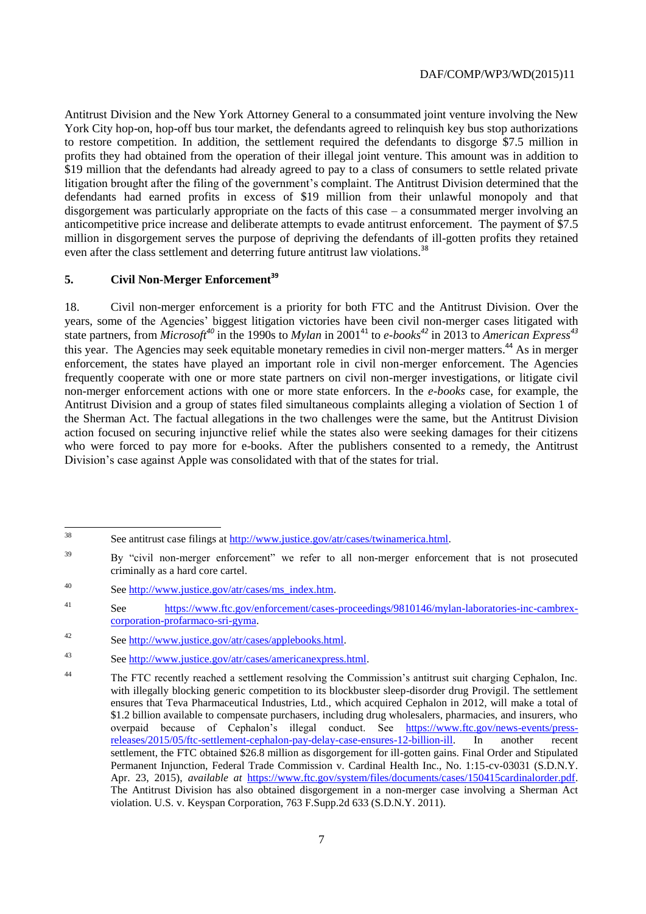Antitrust Division and the New York Attorney General to a consummated joint venture involving the New York City hop-on, hop-off bus tour market, the defendants agreed to relinquish key bus stop authorizations to restore competition. In addition, the settlement required the defendants to disgorge \$7.5 million in profits they had obtained from the operation of their illegal joint venture. This amount was in addition to \$19 million that the defendants had already agreed to pay to a class of consumers to settle related private litigation brought after the filing of the government's complaint. The Antitrust Division determined that the defendants had earned profits in excess of \$19 million from their unlawful monopoly and that disgorgement was particularly appropriate on the facts of this case – a consummated merger involving an anticompetitive price increase and deliberate attempts to evade antitrust enforcement. The payment of \$7.5 million in disgorgement serves the purpose of depriving the defendants of ill-gotten profits they retained even after the class settlement and deterring future antitrust law violations.<sup>38</sup>

# **5. Civil Non-Merger Enforcement<sup>39</sup>**

18. Civil non-merger enforcement is a priority for both FTC and the Antitrust Division. Over the years, some of the Agencies' biggest litigation victories have been civil non-merger cases litigated with state partners, from *Microsoft*<sup>40</sup> in the 1990s to *Mylan* in 2001<sup>41</sup> to *e-books*<sup>42</sup> in 2013 to *American Express*<sup>43</sup> this year. The Agencies may seek equitable monetary remedies in civil non-merger matters.<sup>44</sup> As in merger enforcement, the states have played an important role in civil non-merger enforcement. The Agencies frequently cooperate with one or more state partners on civil non-merger investigations, or litigate civil non-merger enforcement actions with one or more state enforcers. In the *e-books* case, for example, the Antitrust Division and a group of states filed simultaneous complaints alleging a violation of Section 1 of the Sherman Act. The factual allegations in the two challenges were the same, but the Antitrust Division action focused on securing injunctive relief while the states also were seeking damages for their citizens who were forced to pay more for e-books. After the publishers consented to a remedy, the Antitrust Division's case against Apple was consolidated with that of the states for trial.

<sup>38</sup> See antitrust case filings a[t http://www.justice.gov/atr/cases/twinamerica.html.](http://www.justice.gov/atr/cases/twinamerica.html)

<sup>&</sup>lt;sup>39</sup> By "civil non-merger enforcement" we refer to all non-merger enforcement that is not prosecuted criminally as a hard core cartel.

<sup>40</sup> See [http://www.justice.gov/atr/cases/ms\\_index.htm.](http://www.justice.gov/atr/cases/ms_index.htm)

<sup>41</sup> See [https://www.ftc.gov/enforcement/cases-proceedings/9810146/mylan-laboratories-inc-cambrex](https://www.ftc.gov/enforcement/cases-proceedings/9810146/mylan-laboratories-inc-cambrex-corporation-profarmaco-sri-gyma)[corporation-profarmaco-sri-gyma.](https://www.ftc.gov/enforcement/cases-proceedings/9810146/mylan-laboratories-inc-cambrex-corporation-profarmaco-sri-gyma)

<sup>42</sup> See [http://www.justice.gov/atr/cases/applebooks.html.](http://www.justice.gov/atr/cases/applebooks.html)

<sup>43</sup> See [http://www.justice.gov/atr/cases/americanexpress.html.](http://www.justice.gov/atr/cases/americanexpress.html)

<sup>44</sup> The FTC recently reached a settlement resolving the Commission's antitrust suit charging Cephalon, Inc. with illegally blocking generic competition to its blockbuster sleep-disorder drug Provigil. The settlement ensures that Teva Pharmaceutical Industries, Ltd., which acquired Cephalon in 2012, will make a total of \$1.2 billion available to compensate purchasers, including drug wholesalers, pharmacies, and insurers, who overpaid because of Cephalon's illegal conduct. See [https://www.ftc.gov/news-events/press](https://www.ftc.gov/news-events/press-releases/2015/05/ftc-settlement-cephalon-pay-delay-case-ensures-12-billion-ill)[releases/2015/05/ftc-settlement-cephalon-pay-delay-case-ensures-12-billion-ill.](https://www.ftc.gov/news-events/press-releases/2015/05/ftc-settlement-cephalon-pay-delay-case-ensures-12-billion-ill) In another recent settlement, the FTC obtained \$26.8 million as disgorgement for ill-gotten gains. Final Order and Stipulated Permanent Injunction, Federal Trade Commission v. Cardinal Health Inc., No. 1:15-cv-03031 (S.D.N.Y. Apr. 23, 2015), *available at* [https://www.ftc.gov/system/files/documents/cases/150415cardinalorder.pdf.](https://www.ftc.gov/system/files/documents/cases/150415cardinalorder.pdf) The Antitrust Division has also obtained disgorgement in a non-merger case involving a Sherman Act violation. U.S. v. Keyspan Corporation, 763 F.Supp.2d 633 (S.D.N.Y. 2011).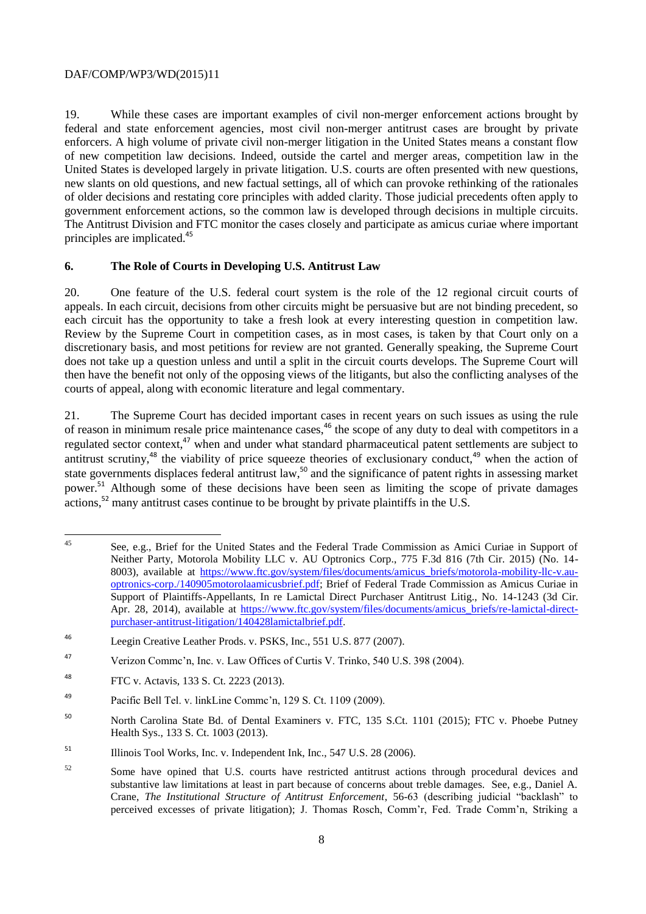19. While these cases are important examples of civil non-merger enforcement actions brought by federal and state enforcement agencies, most civil non-merger antitrust cases are brought by private enforcers. A high volume of private civil non-merger litigation in the United States means a constant flow of new competition law decisions. Indeed, outside the cartel and merger areas, competition law in the United States is developed largely in private litigation. U.S. courts are often presented with new questions, new slants on old questions, and new factual settings, all of which can provoke rethinking of the rationales of older decisions and restating core principles with added clarity. Those judicial precedents often apply to government enforcement actions, so the common law is developed through decisions in multiple circuits. The Antitrust Division and FTC monitor the cases closely and participate as amicus curiae where important principles are implicated.<sup>45</sup>

### **6. The Role of Courts in Developing U.S. Antitrust Law**

20. One feature of the U.S. federal court system is the role of the 12 regional circuit courts of appeals. In each circuit, decisions from other circuits might be persuasive but are not binding precedent, so each circuit has the opportunity to take a fresh look at every interesting question in competition law. Review by the Supreme Court in competition cases, as in most cases, is taken by that Court only on a discretionary basis, and most petitions for review are not granted. Generally speaking, the Supreme Court does not take up a question unless and until a split in the circuit courts develops. The Supreme Court will then have the benefit not only of the opposing views of the litigants, but also the conflicting analyses of the courts of appeal, along with economic literature and legal commentary.

21. The Supreme Court has decided important cases in recent years on such issues as using the rule of reason in minimum resale price maintenance cases,<sup>46</sup> the scope of any duty to deal with competitors in a regulated sector context,<sup>47</sup> when and under what standard pharmaceutical patent settlements are subject to antitrust scrutiny,<sup>48</sup> the viability of price squeeze theories of exclusionary conduct,<sup>49</sup> when the action of state governments displaces federal antitrust law,<sup>50</sup> and the significance of patent rights in assessing market power.<sup>51</sup> Although some of these decisions have been seen as limiting the scope of private damages  $\alpha$  actions,<sup>52</sup> many antitrust cases continue to be brought by private plaintiffs in the U.S.

 $45 \overline{6}$ See, e.g., Brief for the United States and the Federal Trade Commission as Amici Curiae in Support of Neither Party, Motorola Mobility LLC v. AU Optronics Corp., 775 F.3d 816 (7th Cir. 2015) (No. 14 8003), available at [https://www.ftc.gov/system/files/documents/amicus\\_briefs/motorola-mobility-llc-v.au](https://www.ftc.gov/system/files/documents/amicus_briefs/motorola-mobility-llc-v.au-optronics-corp./140905motorolaamicusbrief.pdf)[optronics-corp./140905motorolaamicusbrief.pdf;](https://www.ftc.gov/system/files/documents/amicus_briefs/motorola-mobility-llc-v.au-optronics-corp./140905motorolaamicusbrief.pdf) Brief of Federal Trade Commission as Amicus Curiae in Support of Plaintiffs-Appellants, In re Lamictal Direct Purchaser Antitrust Litig., No. 14-1243 (3d Cir. Apr. 28, 2014), available at [https://www.ftc.gov/system/files/documents/amicus\\_briefs/re-lamictal-direct](https://www.ftc.gov/system/files/documents/amicus_briefs/re-lamictal-direct-purchaser-antitrust-litigation/140428lamictalbrief.pdf)[purchaser-antitrust-litigation/140428lamictalbrief.pdf.](https://www.ftc.gov/system/files/documents/amicus_briefs/re-lamictal-direct-purchaser-antitrust-litigation/140428lamictalbrief.pdf)

<sup>46</sup> Leegin Creative Leather Prods. v. PSKS, Inc., 551 U.S. 877 (2007).

<sup>47</sup> Verizon Commc'n, Inc. v. Law Offices of Curtis V. Trinko, 540 U.S. 398 (2004).

<sup>48</sup> FTC v. Actavis, 133 S. Ct. 2223 (2013).

<sup>49</sup> Pacific Bell Tel. v. linkLine Commc'n, 129 S. Ct. 1109 (2009).

<sup>50</sup> North Carolina State Bd. of Dental Examiners v. FTC, 135 S.Ct. 1101 (2015); FTC v. Phoebe Putney Health Sys., 133 S. Ct. 1003 (2013).

<sup>&</sup>lt;sup>51</sup> Illinois Tool Works, Inc. v. Independent Ink, Inc., 547 U.S. 28 (2006).

<sup>&</sup>lt;sup>52</sup> Some have opined that U.S. courts have restricted antitrust actions through procedural devices and substantive law limitations at least in part because of concerns about treble damages. See, e.g., Daniel A. Crane, *The Institutional Structure of Antitrust Enforcement*, 56-63 (describing judicial "backlash" to perceived excesses of private litigation); J. Thomas Rosch, Comm'r, Fed. Trade Comm'n, Striking a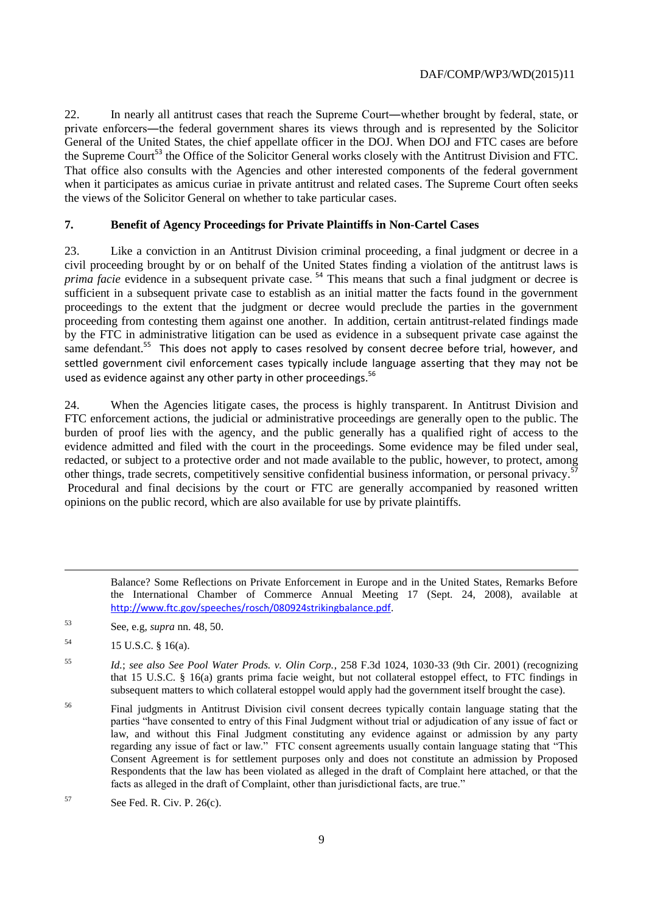22. In nearly all antitrust cases that reach the Supreme Court―whether brought by federal, state, or private enforcers―the federal government shares its views through and is represented by the Solicitor General of the United States, the chief appellate officer in the DOJ. When DOJ and FTC cases are before the Supreme Court<sup>53</sup> the Office of the Solicitor General works closely with the Antitrust Division and FTC. That office also consults with the Agencies and other interested components of the federal government when it participates as amicus curiae in private antitrust and related cases. The Supreme Court often seeks the views of the Solicitor General on whether to take particular cases.

# **7. Benefit of Agency Proceedings for Private Plaintiffs in Non-Cartel Cases**

23. Like a conviction in an Antitrust Division criminal proceeding, a final judgment or decree in a civil proceeding brought by or on behalf of the United States finding a violation of the antitrust laws is *prima facie* evidence in a subsequent private case.<sup>54</sup> This means that such a final judgment or decree is sufficient in a subsequent private case to establish as an initial matter the facts found in the government proceedings to the extent that the judgment or decree would preclude the parties in the government proceeding from contesting them against one another. In addition, certain antitrust-related findings made by the FTC in administrative litigation can be used as evidence in a subsequent private case against the same defendant.<sup>55</sup> This does not apply to cases resolved by consent decree before trial, however, and settled government civil enforcement cases typically include language asserting that they may not be used as evidence against any other party in other proceedings.<sup>56</sup>

24. When the Agencies litigate cases, the process is highly transparent. In Antitrust Division and FTC enforcement actions, the judicial or administrative proceedings are generally open to the public. The burden of proof lies with the agency, and the public generally has a qualified right of access to the evidence admitted and filed with the court in the proceedings. Some evidence may be filed under seal, redacted, or subject to a protective order and not made available to the public, however, to protect, among other things, trade secrets, competitively sensitive confidential business information, or personal privacy.<sup>57</sup> Procedural and final decisions by the court or FTC are generally accompanied by reasoned written opinions on the public record, which are also available for use by private plaintiffs.

Balance? Some Reflections on Private Enforcement in Europe and in the United States, Remarks Before the International Chamber of Commerce Annual Meeting 17 (Sept. 24, 2008), available at <http://www.ftc.gov/speeches/rosch/080924strikingbalance.pdf>.

- <sup>53</sup> See, e.g, *supra* nn. 48, 50.
- <sup>54</sup> 15 U.S.C. § 16(a).

<sup>56</sup> Final judgments in Antitrust Division civil consent decrees typically contain language stating that the parties "have consented to entry of this Final Judgment without trial or adjudication of any issue of fact or law, and without this Final Judgment constituting any evidence against or admission by any party regarding any issue of fact or law." FTC consent agreements usually contain language stating that "This Consent Agreement is for settlement purposes only and does not constitute an admission by Proposed Respondents that the law has been violated as alleged in the draft of Complaint here attached, or that the facts as alleged in the draft of Complaint, other than jurisdictional facts, are true."

<sup>55</sup> *Id.*; *see also See Pool Water Prods. v. Olin Corp.*, 258 F.3d 1024, 1030-33 (9th Cir. 2001) (recognizing that 15 U.S.C. § 16(a) grants prima facie weight, but not collateral estoppel effect, to FTC findings in subsequent matters to which collateral estoppel would apply had the government itself brought the case).

 $57$  See Fed. R. Civ. P. 26(c).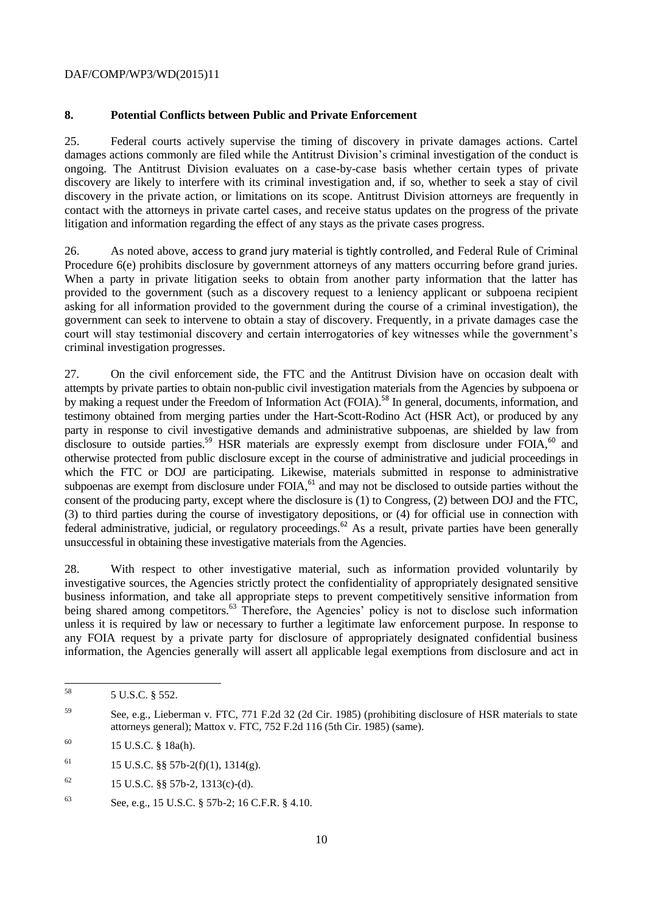# **8. Potential Conflicts between Public and Private Enforcement**

25. Federal courts actively supervise the timing of discovery in private damages actions. Cartel damages actions commonly are filed while the Antitrust Division's criminal investigation of the conduct is ongoing. The Antitrust Division evaluates on a case-by-case basis whether certain types of private discovery are likely to interfere with its criminal investigation and, if so, whether to seek a stay of civil discovery in the private action, or limitations on its scope. Antitrust Division attorneys are frequently in contact with the attorneys in private cartel cases, and receive status updates on the progress of the private litigation and information regarding the effect of any stays as the private cases progress.

26. As noted above, access to grand jury material is tightly controlled, and Federal Rule of Criminal Procedure 6(e) prohibits disclosure by government attorneys of any matters occurring before grand juries. When a party in private litigation seeks to obtain from another party information that the latter has provided to the government (such as a discovery request to a leniency applicant or subpoena recipient asking for all information provided to the government during the course of a criminal investigation), the government can seek to intervene to obtain a stay of discovery. Frequently, in a private damages case the court will stay testimonial discovery and certain interrogatories of key witnesses while the government's criminal investigation progresses.

27. On the civil enforcement side, the FTC and the Antitrust Division have on occasion dealt with attempts by private parties to obtain non-public civil investigation materials from the Agencies by subpoena or by making a request under the Freedom of Information Act (FOIA).<sup>58</sup> In general, documents, information, and testimony obtained from merging parties under the Hart-Scott-Rodino Act (HSR Act), or produced by any party in response to civil investigative demands and administrative subpoenas, are shielded by law from disclosure to outside parties.<sup>59</sup> HSR materials are expressly exempt from disclosure under FOIA,<sup>60</sup> and otherwise protected from public disclosure except in the course of administrative and judicial proceedings in which the FTC or DOJ are participating. Likewise, materials submitted in response to administrative subpoenas are exempt from disclosure under FOIA,<sup>61</sup> and may not be disclosed to outside parties without the consent of the producing party, except where the disclosure is (1) to Congress, (2) between DOJ and the FTC, (3) to third parties during the course of investigatory depositions, or (4) for official use in connection with federal administrative, judicial, or regulatory proceedings.<sup>62</sup> As a result, private parties have been generally unsuccessful in obtaining these investigative materials from the Agencies.

28. With respect to other investigative material, such as information provided voluntarily by investigative sources, the Agencies strictly protect the confidentiality of appropriately designated sensitive business information, and take all appropriate steps to prevent competitively sensitive information from being shared among competitors.<sup>63</sup> Therefore, the Agencies' policy is not to disclose such information unless it is required by law or necessary to further a legitimate law enforcement purpose. In response to any FOIA request by a private party for disclosure of appropriately designated confidential business information, the Agencies generally will assert all applicable legal exemptions from disclosure and act in

<sup>58</sup> 5 U.S.C. § 552.

<sup>59</sup> See, e.g., Lieberman v. FTC, 771 F.2d 32 (2d Cir. 1985) (prohibiting disclosure of HSR materials to state attorneys general); Mattox v. FTC, 752 F.2d 116 (5th Cir. 1985) (same).

<sup>60</sup> 15 U.S.C. § 18a(h).

<sup>&</sup>lt;sup>61</sup> 15 U.S.C. §§ 57b-2(f)(1), 1314(g).

 $^{62}$  15 U.S.C. §§ 57b-2, 1313(c)-(d).

<sup>63</sup> See, e.g., 15 U.S.C. § 57b-2; 16 C.F.R. § 4.10.